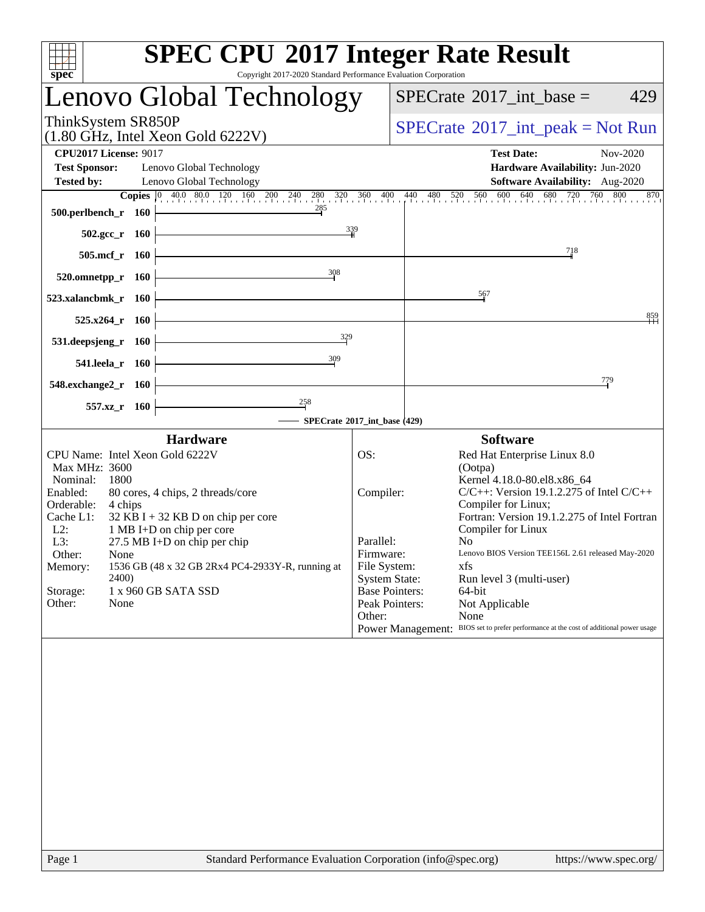| <b>SPEC CPU®2017 Integer Rate Result</b><br>Copyright 2017-2020 Standard Performance Evaluation Corporation<br>spec <sup>®</sup> |                                                             |                              |                                                                                                                                                                        |  |  |  |  |  |  |  |
|----------------------------------------------------------------------------------------------------------------------------------|-------------------------------------------------------------|------------------------------|------------------------------------------------------------------------------------------------------------------------------------------------------------------------|--|--|--|--|--|--|--|
|                                                                                                                                  | Lenovo Global Technology                                    |                              | $SPECTate$ <sup>®</sup> 2017_int_base =<br>429                                                                                                                         |  |  |  |  |  |  |  |
| ThinkSystem SR850P                                                                                                               | $(1.80 \text{ GHz}, \text{Intel Xeon Gold } 6222 \text{V})$ |                              | $SPECrate^{\circledast}2017\_int\_peak = Not Run$                                                                                                                      |  |  |  |  |  |  |  |
| <b>CPU2017 License: 9017</b><br><b>Test Sponsor:</b><br><b>Tested by:</b>                                                        | Lenovo Global Technology<br>Lenovo Global Technology        |                              | <b>Test Date:</b><br>Nov-2020<br>Hardware Availability: Jun-2020<br>Software Availability: Aug-2020                                                                    |  |  |  |  |  |  |  |
|                                                                                                                                  | <b>Copies</b> 0 40.0 80.0 120 160 200 240 280 320 360 400   |                              | $\frac{440}{1}$ $\frac{480}{1}$ $\frac{520}{1}$ $\frac{560}{1}$ $\frac{600}{1}$ $\frac{640}{1}$ $\frac{680}{1}$ $\frac{720}{1}$ $\frac{760}{1}$ $\frac{800}{1}$<br>870 |  |  |  |  |  |  |  |
| 500.perlbench_r<br>- 160                                                                                                         | 285                                                         |                              |                                                                                                                                                                        |  |  |  |  |  |  |  |
| $502.\text{sec}_r$ 160                                                                                                           | $\frac{339}{4}$                                             |                              |                                                                                                                                                                        |  |  |  |  |  |  |  |
| 505.mcf_r 160                                                                                                                    |                                                             |                              | 718                                                                                                                                                                    |  |  |  |  |  |  |  |
| 520.omnetpp_r 160                                                                                                                | 308                                                         |                              |                                                                                                                                                                        |  |  |  |  |  |  |  |
| 523.xalancbmk_r<br>- 160                                                                                                         |                                                             |                              | 567                                                                                                                                                                    |  |  |  |  |  |  |  |
| $525.x264$ _r<br>- 160                                                                                                           |                                                             |                              | 859                                                                                                                                                                    |  |  |  |  |  |  |  |
|                                                                                                                                  | 329                                                         |                              |                                                                                                                                                                        |  |  |  |  |  |  |  |
| 531.deepsjeng_r<br><b>160</b>                                                                                                    |                                                             |                              |                                                                                                                                                                        |  |  |  |  |  |  |  |
| 541.leela_r 160                                                                                                                  | 309                                                         |                              |                                                                                                                                                                        |  |  |  |  |  |  |  |
| 548.exchange2_r 160                                                                                                              |                                                             |                              | 779                                                                                                                                                                    |  |  |  |  |  |  |  |
| 557.xz_r<br>- 160                                                                                                                | $\frac{258}{2}$                                             |                              |                                                                                                                                                                        |  |  |  |  |  |  |  |
|                                                                                                                                  |                                                             | SPECrate®2017_int_base (429) |                                                                                                                                                                        |  |  |  |  |  |  |  |
|                                                                                                                                  | <b>Hardware</b>                                             |                              | <b>Software</b>                                                                                                                                                        |  |  |  |  |  |  |  |
| CPU Name: Intel Xeon Gold 6222V                                                                                                  |                                                             | OS:                          | Red Hat Enterprise Linux 8.0                                                                                                                                           |  |  |  |  |  |  |  |
| Max MHz: 3600                                                                                                                    |                                                             |                              | (Ootpa)                                                                                                                                                                |  |  |  |  |  |  |  |
| Nominal:<br>1800<br>Enabled:                                                                                                     | 80 cores, 4 chips, 2 threads/core                           | Compiler:                    | Kernel 4.18.0-80.el8.x86_64<br>$C/C++$ : Version 19.1.2.275 of Intel $C/C++$                                                                                           |  |  |  |  |  |  |  |
| Orderable:<br>4 chips                                                                                                            |                                                             |                              | Compiler for Linux;                                                                                                                                                    |  |  |  |  |  |  |  |
| Cache L1:                                                                                                                        | $32$ KB I + 32 KB D on chip per core                        |                              | Fortran: Version 19.1.2.275 of Intel Fortran                                                                                                                           |  |  |  |  |  |  |  |
| $L2$ :                                                                                                                           | 1 MB I+D on chip per core                                   |                              | Compiler for Linux                                                                                                                                                     |  |  |  |  |  |  |  |
| L3:<br>Other:                                                                                                                    | 27.5 MB I+D on chip per chip                                | Parallel:<br>Firmware:       | N <sub>0</sub><br>Lenovo BIOS Version TEE156L 2.61 released May-2020                                                                                                   |  |  |  |  |  |  |  |
| None<br>Memory:                                                                                                                  | 1536 GB (48 x 32 GB 2Rx4 PC4-2933Y-R, running at            | File System:                 | xfs                                                                                                                                                                    |  |  |  |  |  |  |  |
| <b>2400</b>                                                                                                                      |                                                             | <b>System State:</b>         | Run level 3 (multi-user)                                                                                                                                               |  |  |  |  |  |  |  |
| Storage:                                                                                                                         | 1 x 960 GB SATA SSD                                         | <b>Base Pointers:</b>        | 64-bit                                                                                                                                                                 |  |  |  |  |  |  |  |
| Other:<br>None                                                                                                                   |                                                             | Peak Pointers:               | Not Applicable                                                                                                                                                         |  |  |  |  |  |  |  |
|                                                                                                                                  |                                                             | Other:                       | None<br>Power Management: BIOS set to prefer performance at the cost of additional power usage                                                                         |  |  |  |  |  |  |  |
|                                                                                                                                  |                                                             |                              |                                                                                                                                                                        |  |  |  |  |  |  |  |
|                                                                                                                                  |                                                             |                              |                                                                                                                                                                        |  |  |  |  |  |  |  |
|                                                                                                                                  |                                                             |                              |                                                                                                                                                                        |  |  |  |  |  |  |  |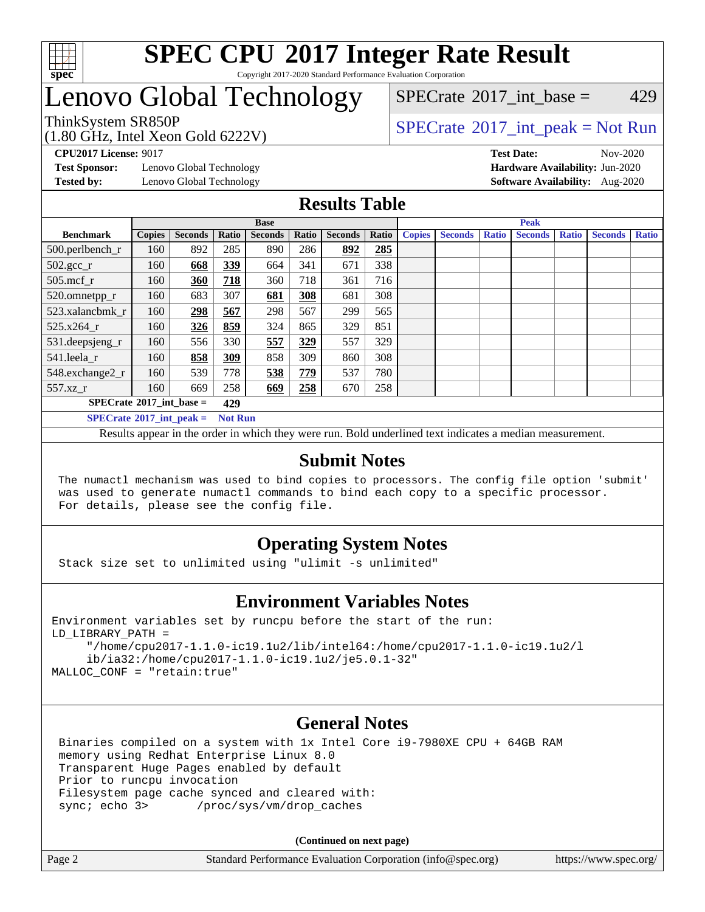

### **[SPEC CPU](http://www.spec.org/auto/cpu2017/Docs/result-fields.html#SPECCPU2017IntegerRateResult)[2017 Integer Rate Result](http://www.spec.org/auto/cpu2017/Docs/result-fields.html#SPECCPU2017IntegerRateResult)** Copyright 2017-2020 Standard Performance Evaluation Corporation

# Lenovo Global Technology

(1.80 GHz, Intel Xeon Gold 6222V)

ThinkSystem SR850P<br>(1.80 GHz, Intel Year Gald 6222V) [SPECrate](http://www.spec.org/auto/cpu2017/Docs/result-fields.html#SPECrate2017intpeak)®[2017\\_int\\_peak = N](http://www.spec.org/auto/cpu2017/Docs/result-fields.html#SPECrate2017intpeak)ot Run [SPECrate](http://www.spec.org/auto/cpu2017/Docs/result-fields.html#SPECrate2017intbase)<sup>®</sup>2017 int base =  $429$ 

**[Test Sponsor:](http://www.spec.org/auto/cpu2017/Docs/result-fields.html#TestSponsor)** Lenovo Global Technology **[Hardware Availability:](http://www.spec.org/auto/cpu2017/Docs/result-fields.html#HardwareAvailability)** Jun-2020

**[CPU2017 License:](http://www.spec.org/auto/cpu2017/Docs/result-fields.html#CPU2017License)** 9017 **[Test Date:](http://www.spec.org/auto/cpu2017/Docs/result-fields.html#TestDate)** Nov-2020 **[Tested by:](http://www.spec.org/auto/cpu2017/Docs/result-fields.html#Testedby)** Lenovo Global Technology **[Software Availability:](http://www.spec.org/auto/cpu2017/Docs/result-fields.html#SoftwareAvailability)** Aug-2020

### **[Results Table](http://www.spec.org/auto/cpu2017/Docs/result-fields.html#ResultsTable)**

|                                   |                |                |       | <b>Base</b>    |       |                | <b>Peak</b> |               |                |              |                |              |                |              |  |
|-----------------------------------|----------------|----------------|-------|----------------|-------|----------------|-------------|---------------|----------------|--------------|----------------|--------------|----------------|--------------|--|
| <b>Benchmark</b>                  | <b>Copies</b>  | <b>Seconds</b> | Ratio | <b>Seconds</b> | Ratio | <b>Seconds</b> | Ratio       | <b>Copies</b> | <b>Seconds</b> | <b>Ratio</b> | <b>Seconds</b> | <b>Ratio</b> | <b>Seconds</b> | <b>Ratio</b> |  |
| 500.perlbench_r                   | 160            | 892            | 285   | 890            | 286   | 892            | 285         |               |                |              |                |              |                |              |  |
| $502.\text{gcc}_r$                | 160            | 668            | 339   | 664            | 341   | 671            | 338         |               |                |              |                |              |                |              |  |
| $505$ .mcf r                      | 160            | 360            | 718   | 360            | 718   | 361            | 716         |               |                |              |                |              |                |              |  |
| 520.omnetpp_r                     | 160            | 683            | 307   | 681            | 308   | 681            | 308         |               |                |              |                |              |                |              |  |
| 523.xalancbmk r                   | 160            | 298            | 567   | 298            | 567   | 299            | 565         |               |                |              |                |              |                |              |  |
| 525.x264 r                        | 160            | 326            | 859   | 324            | 865   | 329            | 851         |               |                |              |                |              |                |              |  |
| 531.deepsjeng_r                   | 160            | 556            | 330   | 557            | 329   | 557            | 329         |               |                |              |                |              |                |              |  |
| 541.leela r                       | 160            | 858            | 309   | 858            | 309   | 860            | 308         |               |                |              |                |              |                |              |  |
| 548.exchange2_r                   | 160            | 539            | 778   | 538            | 779   | 537            | 780         |               |                |              |                |              |                |              |  |
| 557.xz r                          | 160            | 669            | 258   | 669            | 258   | 670            | 258         |               |                |              |                |              |                |              |  |
| $SPECrate^{\circ}2017$ int base = | 429            |                |       |                |       |                |             |               |                |              |                |              |                |              |  |
| $SPECrate^{\circ}2017$ int peak = | <b>Not Run</b> |                |       |                |       |                |             |               |                |              |                |              |                |              |  |

Results appear in the [order in which they were run](http://www.spec.org/auto/cpu2017/Docs/result-fields.html#RunOrder). Bold underlined text [indicates a median measurement](http://www.spec.org/auto/cpu2017/Docs/result-fields.html#Median).

### **[Submit Notes](http://www.spec.org/auto/cpu2017/Docs/result-fields.html#SubmitNotes)**

 The numactl mechanism was used to bind copies to processors. The config file option 'submit' was used to generate numactl commands to bind each copy to a specific processor. For details, please see the config file.

### **[Operating System Notes](http://www.spec.org/auto/cpu2017/Docs/result-fields.html#OperatingSystemNotes)**

Stack size set to unlimited using "ulimit -s unlimited"

### **[Environment Variables Notes](http://www.spec.org/auto/cpu2017/Docs/result-fields.html#EnvironmentVariablesNotes)**

```
Environment variables set by runcpu before the start of the run:
LD_LIBRARY_PATH =
      "/home/cpu2017-1.1.0-ic19.1u2/lib/intel64:/home/cpu2017-1.1.0-ic19.1u2/l
      ib/ia32:/home/cpu2017-1.1.0-ic19.1u2/je5.0.1-32"
MALLOC_CONF = "retain:true"
```
### **[General Notes](http://www.spec.org/auto/cpu2017/Docs/result-fields.html#GeneralNotes)**

 Binaries compiled on a system with 1x Intel Core i9-7980XE CPU + 64GB RAM memory using Redhat Enterprise Linux 8.0 Transparent Huge Pages enabled by default Prior to runcpu invocation Filesystem page cache synced and cleared with: sync; echo 3> /proc/sys/vm/drop\_caches

**(Continued on next page)**

| Page 2 | Standard Performance Evaluation Corporation (info@spec.org) | https://www.spec.org/ |
|--------|-------------------------------------------------------------|-----------------------|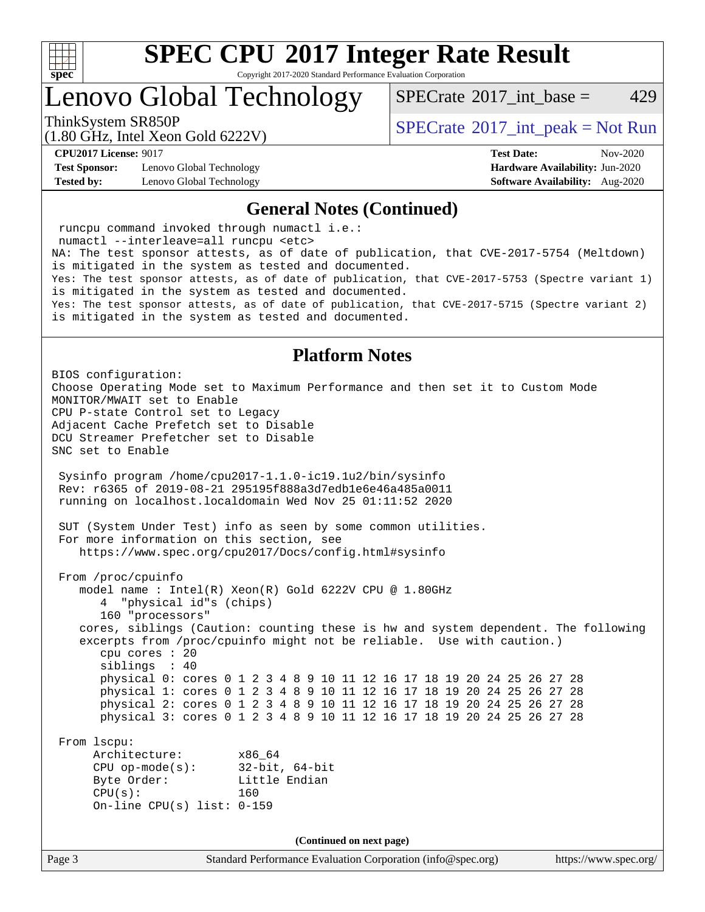

Copyright 2017-2020 Standard Performance Evaluation Corporation

Lenovo Global Technology

[SPECrate](http://www.spec.org/auto/cpu2017/Docs/result-fields.html#SPECrate2017intbase)<sup>®</sup>2017 int base = 429

(1.80 GHz, Intel Xeon Gold 6222V)

ThinkSystem SR850P<br>  $\begin{array}{c}\n\text{SPECTI}_2 \text{ Intel } \text{Y}_2 \text{ on } \text{Col14} \\
\text{SPECTI}_3 \text{ Int } \text{peak} = \text{Not Run}\n\end{array}$ 

**[Test Sponsor:](http://www.spec.org/auto/cpu2017/Docs/result-fields.html#TestSponsor)** Lenovo Global Technology **[Hardware Availability:](http://www.spec.org/auto/cpu2017/Docs/result-fields.html#HardwareAvailability)** Jun-2020 **[Tested by:](http://www.spec.org/auto/cpu2017/Docs/result-fields.html#Testedby)** Lenovo Global Technology **[Software Availability:](http://www.spec.org/auto/cpu2017/Docs/result-fields.html#SoftwareAvailability)** Aug-2020

**[CPU2017 License:](http://www.spec.org/auto/cpu2017/Docs/result-fields.html#CPU2017License)** 9017 **[Test Date:](http://www.spec.org/auto/cpu2017/Docs/result-fields.html#TestDate)** Nov-2020

#### **[General Notes \(Continued\)](http://www.spec.org/auto/cpu2017/Docs/result-fields.html#GeneralNotes)**

 runcpu command invoked through numactl i.e.: numactl --interleave=all runcpu <etc> NA: The test sponsor attests, as of date of publication, that CVE-2017-5754 (Meltdown) is mitigated in the system as tested and documented. Yes: The test sponsor attests, as of date of publication, that CVE-2017-5753 (Spectre variant 1) is mitigated in the system as tested and documented. Yes: The test sponsor attests, as of date of publication, that CVE-2017-5715 (Spectre variant 2) is mitigated in the system as tested and documented.

### **[Platform Notes](http://www.spec.org/auto/cpu2017/Docs/result-fields.html#PlatformNotes)**

Page 3 Standard Performance Evaluation Corporation [\(info@spec.org\)](mailto:info@spec.org) <https://www.spec.org/> BIOS configuration: Choose Operating Mode set to Maximum Performance and then set it to Custom Mode MONITOR/MWAIT set to Enable CPU P-state Control set to Legacy Adjacent Cache Prefetch set to Disable DCU Streamer Prefetcher set to Disable SNC set to Enable Sysinfo program /home/cpu2017-1.1.0-ic19.1u2/bin/sysinfo Rev: r6365 of 2019-08-21 295195f888a3d7edb1e6e46a485a0011 running on localhost.localdomain Wed Nov 25 01:11:52 2020 SUT (System Under Test) info as seen by some common utilities. For more information on this section, see <https://www.spec.org/cpu2017/Docs/config.html#sysinfo> From /proc/cpuinfo model name : Intel(R) Xeon(R) Gold 6222V CPU @ 1.80GHz 4 "physical id"s (chips) 160 "processors" cores, siblings (Caution: counting these is hw and system dependent. The following excerpts from /proc/cpuinfo might not be reliable. Use with caution.) cpu cores : 20 siblings : 40 physical 0: cores 0 1 2 3 4 8 9 10 11 12 16 17 18 19 20 24 25 26 27 28 physical 1: cores 0 1 2 3 4 8 9 10 11 12 16 17 18 19 20 24 25 26 27 28 physical 2: cores 0 1 2 3 4 8 9 10 11 12 16 17 18 19 20 24 25 26 27 28 physical 3: cores 0 1 2 3 4 8 9 10 11 12 16 17 18 19 20 24 25 26 27 28 From lscpu: Architecture: x86\_64 CPU op-mode(s): 32-bit, 64-bit Byte Order: Little Endian CPU(s): 160 On-line CPU(s) list: 0-159 **(Continued on next page)**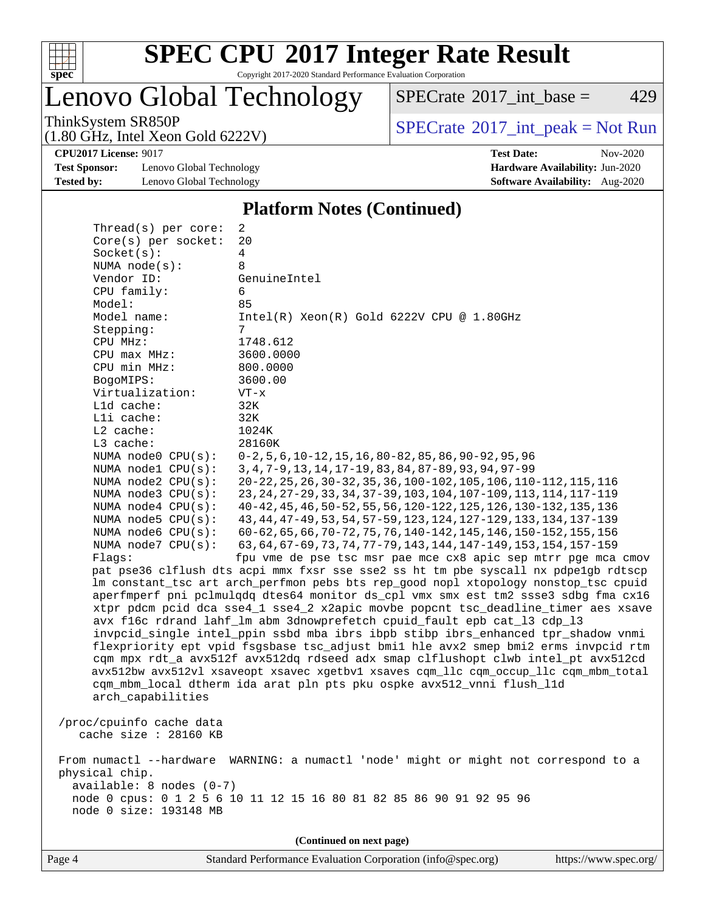

Copyright 2017-2020 Standard Performance Evaluation Corporation

# Lenovo Global Technology

 $SPECTate@2017_int\_base = 429$ 

(1.80 GHz, Intel Xeon Gold 6222V)

ThinkSystem SR850P<br>  $(1.80 \text{ GHz. Intel } Y_{\text{QCD}}$  Gold 6222V)

**[CPU2017 License:](http://www.spec.org/auto/cpu2017/Docs/result-fields.html#CPU2017License)** 9017 **[Test Date:](http://www.spec.org/auto/cpu2017/Docs/result-fields.html#TestDate)** Nov-2020

**[Test Sponsor:](http://www.spec.org/auto/cpu2017/Docs/result-fields.html#TestSponsor)** Lenovo Global Technology **[Hardware Availability:](http://www.spec.org/auto/cpu2017/Docs/result-fields.html#HardwareAvailability)** Jun-2020 **[Tested by:](http://www.spec.org/auto/cpu2017/Docs/result-fields.html#Testedby)** Lenovo Global Technology **[Software Availability:](http://www.spec.org/auto/cpu2017/Docs/result-fields.html#SoftwareAvailability)** Aug-2020

### **[Platform Notes \(Continued\)](http://www.spec.org/auto/cpu2017/Docs/result-fields.html#PlatformNotes)**

| Thread(s) per core:                               | 2                                                                                    |  |  |  |  |  |  |  |  |  |
|---------------------------------------------------|--------------------------------------------------------------------------------------|--|--|--|--|--|--|--|--|--|
| Core(s) per socket:                               | 20                                                                                   |  |  |  |  |  |  |  |  |  |
| Socket(s):                                        | 4                                                                                    |  |  |  |  |  |  |  |  |  |
| NUMA $node(s):$                                   | 8                                                                                    |  |  |  |  |  |  |  |  |  |
| Vendor ID:                                        | GenuineIntel                                                                         |  |  |  |  |  |  |  |  |  |
| CPU family:                                       | 6                                                                                    |  |  |  |  |  |  |  |  |  |
| Model:                                            | 85                                                                                   |  |  |  |  |  |  |  |  |  |
| Model name:                                       | $Intel(R) Xeon(R) Gold 6222V CPU @ 1.80GHz$                                          |  |  |  |  |  |  |  |  |  |
| Stepping:                                         | 7                                                                                    |  |  |  |  |  |  |  |  |  |
| CPU MHz:                                          | 1748.612                                                                             |  |  |  |  |  |  |  |  |  |
| CPU max MHz:                                      | 3600.0000                                                                            |  |  |  |  |  |  |  |  |  |
| CPU min MHz:                                      | 800.0000                                                                             |  |  |  |  |  |  |  |  |  |
| BogoMIPS:                                         | 3600.00                                                                              |  |  |  |  |  |  |  |  |  |
| Virtualization:                                   | $VT - x$                                                                             |  |  |  |  |  |  |  |  |  |
| L1d cache:                                        | 32K                                                                                  |  |  |  |  |  |  |  |  |  |
| Lli cache:                                        | 32K                                                                                  |  |  |  |  |  |  |  |  |  |
| L2 cache:                                         | 1024K                                                                                |  |  |  |  |  |  |  |  |  |
| L3 cache:                                         | 28160K                                                                               |  |  |  |  |  |  |  |  |  |
| NUMA node0 CPU(s):                                | $0-2, 5, 6, 10-12, 15, 16, 80-82, 85, 86, 90-92, 95, 96$                             |  |  |  |  |  |  |  |  |  |
| NUMA nodel CPU(s):                                | 3, 4, 7-9, 13, 14, 17-19, 83, 84, 87-89, 93, 94, 97-99                               |  |  |  |  |  |  |  |  |  |
| NUMA node2 CPU(s):                                | 20-22, 25, 26, 30-32, 35, 36, 100-102, 105, 106, 110-112, 115, 116                   |  |  |  |  |  |  |  |  |  |
| NUMA $node3$ $CPU(s):$                            | 23, 24, 27-29, 33, 34, 37-39, 103, 104, 107-109, 113, 114, 117-119                   |  |  |  |  |  |  |  |  |  |
| NUMA node4 CPU(s):                                | 40-42, 45, 46, 50-52, 55, 56, 120-122, 125, 126, 130-132, 135, 136                   |  |  |  |  |  |  |  |  |  |
| NUMA $node5$ CPU $(s)$ :                          | 43, 44, 47-49, 53, 54, 57-59, 123, 124, 127-129, 133, 134, 137-139                   |  |  |  |  |  |  |  |  |  |
| NUMA node6 CPU(s):                                | 60-62, 65, 66, 70-72, 75, 76, 140-142, 145, 146, 150-152, 155, 156                   |  |  |  |  |  |  |  |  |  |
| NUMA node7 CPU(s):                                | 63, 64, 67-69, 73, 74, 77-79, 143, 144, 147-149, 153, 154, 157-159                   |  |  |  |  |  |  |  |  |  |
|                                                   | fpu vme de pse tsc msr pae mce cx8 apic sep mtrr pge mca cmov<br>Flaqs:              |  |  |  |  |  |  |  |  |  |
|                                                   | pat pse36 clflush dts acpi mmx fxsr sse sse2 ss ht tm pbe syscall nx pdpelgb rdtscp  |  |  |  |  |  |  |  |  |  |
|                                                   | lm constant_tsc art arch_perfmon pebs bts rep_good nopl xtopology nonstop_tsc cpuid  |  |  |  |  |  |  |  |  |  |
|                                                   | aperfmperf pni pclmulqdq dtes64 monitor ds_cpl vmx smx est tm2 ssse3 sdbg fma cx16   |  |  |  |  |  |  |  |  |  |
|                                                   | xtpr pdcm pcid dca sse4_1 sse4_2 x2apic movbe popcnt tsc_deadline_timer aes xsave    |  |  |  |  |  |  |  |  |  |
|                                                   | avx f16c rdrand lahf_lm abm 3dnowprefetch cpuid_fault epb cat_13 cdp_13              |  |  |  |  |  |  |  |  |  |
|                                                   | invpcid_single intel_ppin ssbd mba ibrs ibpb stibp ibrs_enhanced tpr_shadow vnmi     |  |  |  |  |  |  |  |  |  |
|                                                   | flexpriority ept vpid fsgsbase tsc_adjust bmil hle avx2 smep bmi2 erms invpcid rtm   |  |  |  |  |  |  |  |  |  |
|                                                   | cqm mpx rdt_a avx512f avx512dq rdseed adx smap clflushopt clwb intel_pt avx512cd     |  |  |  |  |  |  |  |  |  |
|                                                   | avx512bw avx512vl xsaveopt xsavec xgetbvl xsaves cqm_llc cqm_occup_llc cqm_mbm_total |  |  |  |  |  |  |  |  |  |
|                                                   | cqm_mbm_local dtherm ida arat pln pts pku ospke avx512_vnni flush_l1d                |  |  |  |  |  |  |  |  |  |
| arch_capabilities                                 |                                                                                      |  |  |  |  |  |  |  |  |  |
|                                                   |                                                                                      |  |  |  |  |  |  |  |  |  |
| /proc/cpuinfo cache data<br>cache size : 28160 KB |                                                                                      |  |  |  |  |  |  |  |  |  |
|                                                   |                                                                                      |  |  |  |  |  |  |  |  |  |
|                                                   | From numactl --hardware WARNING: a numactl 'node' might or might not correspond to a |  |  |  |  |  |  |  |  |  |
| physical chip.                                    |                                                                                      |  |  |  |  |  |  |  |  |  |
| $available: 8 nodes (0-7)$                        |                                                                                      |  |  |  |  |  |  |  |  |  |
|                                                   | node 0 cpus: 0 1 2 5 6 10 11 12 15 16 80 81 82 85 86 90 91 92 95 96                  |  |  |  |  |  |  |  |  |  |
| node 0 size: 193148 MB                            |                                                                                      |  |  |  |  |  |  |  |  |  |
|                                                   |                                                                                      |  |  |  |  |  |  |  |  |  |
|                                                   | (Continued on next page)                                                             |  |  |  |  |  |  |  |  |  |
|                                                   |                                                                                      |  |  |  |  |  |  |  |  |  |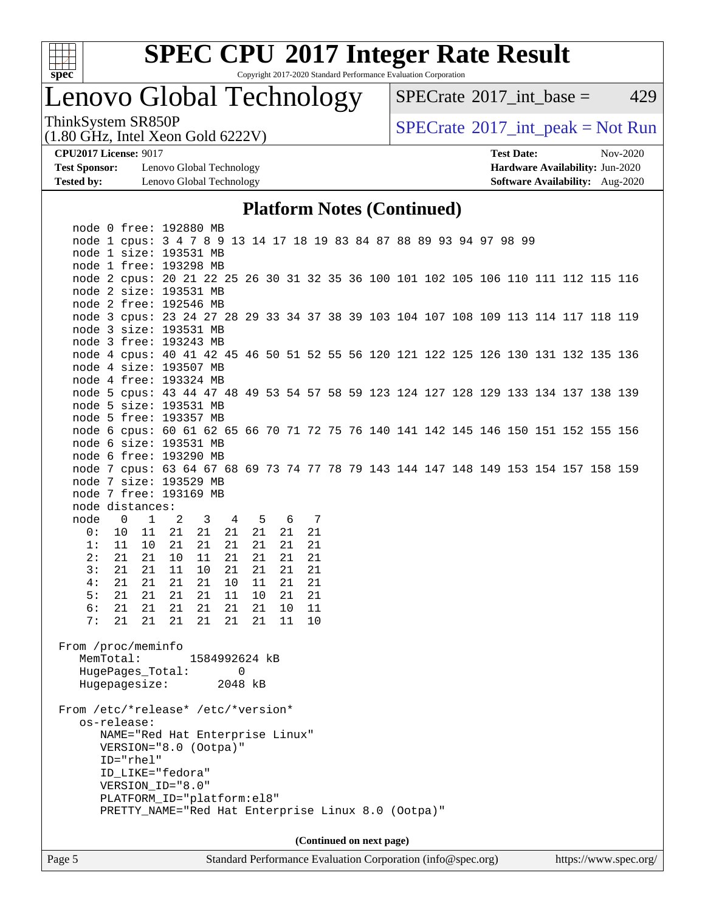

Copyright 2017-2020 Standard Performance Evaluation Corporation

# Lenovo Global Technology

 $SPECTate@2017_int\_base = 429$ 

(1.80 GHz, Intel Xeon Gold 6222V)

ThinkSystem SR850P<br>(1.80 GHz, Intel Xeon Gold 6222V) [SPECrate](http://www.spec.org/auto/cpu2017/Docs/result-fields.html#SPECrate2017intpeak)®[2017\\_int\\_peak = N](http://www.spec.org/auto/cpu2017/Docs/result-fields.html#SPECrate2017intpeak)ot Run

**[Test Sponsor:](http://www.spec.org/auto/cpu2017/Docs/result-fields.html#TestSponsor)** Lenovo Global Technology **[Hardware Availability:](http://www.spec.org/auto/cpu2017/Docs/result-fields.html#HardwareAvailability)** Jun-2020 **[Tested by:](http://www.spec.org/auto/cpu2017/Docs/result-fields.html#Testedby)** Lenovo Global Technology **[Software Availability:](http://www.spec.org/auto/cpu2017/Docs/result-fields.html#SoftwareAvailability)** Aug-2020

**[CPU2017 License:](http://www.spec.org/auto/cpu2017/Docs/result-fields.html#CPU2017License)** 9017 **[Test Date:](http://www.spec.org/auto/cpu2017/Docs/result-fields.html#TestDate)** Nov-2020

### **[Platform Notes \(Continued\)](http://www.spec.org/auto/cpu2017/Docs/result-fields.html#PlatformNotes)**

| Page 5                                                                                                       | Standard Performance Evaluation Corporation (info@spec.org)<br>https://www.spec.org/          |       |                         |                     |    |       |    |  |  |                          |  |  |  |  |  |  |
|--------------------------------------------------------------------------------------------------------------|-----------------------------------------------------------------------------------------------|-------|-------------------------|---------------------|----|-------|----|--|--|--------------------------|--|--|--|--|--|--|
|                                                                                                              |                                                                                               |       |                         |                     |    |       |    |  |  | (Continued on next page) |  |  |  |  |  |  |
|                                                                                                              |                                                                                               |       |                         |                     |    |       |    |  |  |                          |  |  |  |  |  |  |
|                                                                                                              | PRETTY_NAME="Red Hat Enterprise Linux 8.0 (Ootpa)"                                            |       |                         |                     |    |       |    |  |  |                          |  |  |  |  |  |  |
|                                                                                                              | PLATFORM_ID="platform:el8"                                                                    |       |                         |                     |    |       |    |  |  |                          |  |  |  |  |  |  |
|                                                                                                              | VERSION_ID="8.0"                                                                              |       |                         |                     |    |       |    |  |  |                          |  |  |  |  |  |  |
|                                                                                                              | ID LIKE="fedora"                                                                              |       |                         |                     |    |       |    |  |  |                          |  |  |  |  |  |  |
|                                                                                                              | ID="rhel"                                                                                     |       |                         |                     |    |       |    |  |  |                          |  |  |  |  |  |  |
|                                                                                                              | NAME="Red Hat Enterprise Linux"<br>VERSION="8.0 (Ootpa)"                                      |       |                         |                     |    |       |    |  |  |                          |  |  |  |  |  |  |
|                                                                                                              | os-release:                                                                                   |       |                         |                     |    |       |    |  |  |                          |  |  |  |  |  |  |
| From /etc/*release* /etc/*version*                                                                           |                                                                                               |       |                         |                     |    |       |    |  |  |                          |  |  |  |  |  |  |
|                                                                                                              |                                                                                               |       |                         |                     |    |       |    |  |  |                          |  |  |  |  |  |  |
|                                                                                                              | HugePages_Total:<br>Hugepagesize:                                                             |       |                         | $\Omega$<br>2048 kB |    |       |    |  |  |                          |  |  |  |  |  |  |
| MemTotal:                                                                                                    |                                                                                               |       | 1584992624 kB           |                     |    |       |    |  |  |                          |  |  |  |  |  |  |
| From /proc/meminfo                                                                                           |                                                                                               |       |                         |                     |    |       |    |  |  |                          |  |  |  |  |  |  |
|                                                                                                              |                                                                                               |       |                         |                     |    |       |    |  |  |                          |  |  |  |  |  |  |
| 7:                                                                                                           | 21                                                                                            | 21 21 | 21                      | 21<br>21            |    | 11    | 10 |  |  |                          |  |  |  |  |  |  |
| 6:                                                                                                           | 21                                                                                            | 21 21 | 21                      | 21                  | 21 | 10    | 11 |  |  |                          |  |  |  |  |  |  |
| 5:                                                                                                           | 21                                                                                            | 21 21 | 21                      | 11<br>10            |    | 21    | 21 |  |  |                          |  |  |  |  |  |  |
| 4:                                                                                                           | 21<br>21                                                                                      | 21    | 21                      | 10<br>11            |    | 21    | 21 |  |  |                          |  |  |  |  |  |  |
| 3:                                                                                                           | 21<br>21                                                                                      | 11    | 10                      | 21                  | 21 | 21    | 21 |  |  |                          |  |  |  |  |  |  |
| 2:                                                                                                           | 21<br>21                                                                                      | 10    | 11                      | 21                  | 21 | 21    | 21 |  |  |                          |  |  |  |  |  |  |
| 1:                                                                                                           | 11<br>10 <sub>1</sub>                                                                         | 21    | 21                      | 21                  | 21 | 21    | 21 |  |  |                          |  |  |  |  |  |  |
| 0:                                                                                                           | 10                                                                                            | 11 21 | 21                      | 21                  | 21 | 21    | 21 |  |  |                          |  |  |  |  |  |  |
| node                                                                                                         | $\overline{0}$<br>$1 \t 2$                                                                    |       | $\overline{\mathbf{3}}$ | $\overline{4}$      |    | 5 6 7 |    |  |  |                          |  |  |  |  |  |  |
| node distances:                                                                                              |                                                                                               |       |                         |                     |    |       |    |  |  |                          |  |  |  |  |  |  |
| node 7 free: 193169 MB                                                                                       |                                                                                               |       |                         |                     |    |       |    |  |  |                          |  |  |  |  |  |  |
| node 7 size: 193529 MB                                                                                       |                                                                                               |       |                         |                     |    |       |    |  |  |                          |  |  |  |  |  |  |
| node 7 cpus: 63 64 67 68 69 73 74 77 78 79 143 144 147 148 149 153 154 157 158 159                           |                                                                                               |       |                         |                     |    |       |    |  |  |                          |  |  |  |  |  |  |
| node 6 free: 193290 MB                                                                                       |                                                                                               |       |                         |                     |    |       |    |  |  |                          |  |  |  |  |  |  |
| node 6 cpus: 60 61 62 65 66 70 71 72 75 76 140 141 142 145 146 150 151 152 155 156<br>node 6 size: 193531 MB |                                                                                               |       |                         |                     |    |       |    |  |  |                          |  |  |  |  |  |  |
| node 5 free: 193357 MB                                                                                       |                                                                                               |       |                         |                     |    |       |    |  |  |                          |  |  |  |  |  |  |
| node 5 size: 193531 MB                                                                                       |                                                                                               |       |                         |                     |    |       |    |  |  |                          |  |  |  |  |  |  |
| node 5 cpus: 43 44 47 48 49 53 54 57 58 59 123 124 127 128 129 133 134 137 138 139                           |                                                                                               |       |                         |                     |    |       |    |  |  |                          |  |  |  |  |  |  |
| node 4 free: 193324 MB                                                                                       |                                                                                               |       |                         |                     |    |       |    |  |  |                          |  |  |  |  |  |  |
| node 4 size: 193507 MB                                                                                       |                                                                                               |       |                         |                     |    |       |    |  |  |                          |  |  |  |  |  |  |
| node 4 cpus: 40 41 42 45 46 50 51 52 55 56 120 121 122 125 126 130 131 132 135 136                           |                                                                                               |       |                         |                     |    |       |    |  |  |                          |  |  |  |  |  |  |
| node 3 free: 193243 MB                                                                                       |                                                                                               |       |                         |                     |    |       |    |  |  |                          |  |  |  |  |  |  |
| node 3 size: 193531 MB                                                                                       |                                                                                               |       |                         |                     |    |       |    |  |  |                          |  |  |  |  |  |  |
| node 3 cpus: 23 24 27 28 29 33 34 37 38 39 103 104 107 108 109 113 114 117 118 119                           |                                                                                               |       |                         |                     |    |       |    |  |  |                          |  |  |  |  |  |  |
| node 2 free: 192546 MB                                                                                       |                                                                                               |       |                         |                     |    |       |    |  |  |                          |  |  |  |  |  |  |
| node 2 size: 193531 MB                                                                                       |                                                                                               |       |                         |                     |    |       |    |  |  |                          |  |  |  |  |  |  |
| node 2 cpus: 20 21 22 25 26 30 31 32 35 36 100 101 102 105 106 110 111 112 115 116                           |                                                                                               |       |                         |                     |    |       |    |  |  |                          |  |  |  |  |  |  |
| node 1 free: 193298 MB                                                                                       |                                                                                               |       |                         |                     |    |       |    |  |  |                          |  |  |  |  |  |  |
|                                                                                                              | node 1 cpus: 3 4 7 8 9 13 14 17 18 19 83 84 87 88 89 93 94 97 98 99<br>node 1 size: 193531 MB |       |                         |                     |    |       |    |  |  |                          |  |  |  |  |  |  |
| node 0 free: 192880 MB                                                                                       |                                                                                               |       |                         |                     |    |       |    |  |  |                          |  |  |  |  |  |  |
|                                                                                                              |                                                                                               |       |                         |                     |    |       |    |  |  |                          |  |  |  |  |  |  |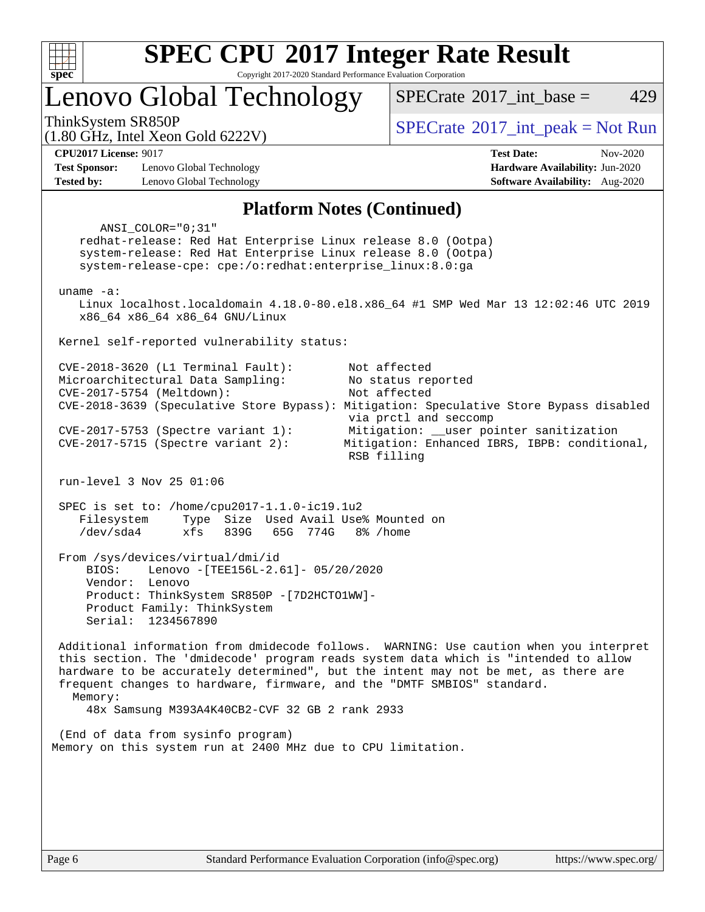

Copyright 2017-2020 Standard Performance Evaluation Corporation

Lenovo Global Technology

[SPECrate](http://www.spec.org/auto/cpu2017/Docs/result-fields.html#SPECrate2017intbase)<sup>®</sup>2017 int base = 429

(1.80 GHz, Intel Xeon Gold 6222V)

ThinkSystem SR850P<br>  $\begin{array}{c}\n\text{SPECTI}_2 \text{ Intel } \text{Y}_2 \text{ on } \text{Col14} \\
\text{SPECTI}_3 \text{ Int } \text{peak} = \text{Not Run}\n\end{array}$ 

**[Test Sponsor:](http://www.spec.org/auto/cpu2017/Docs/result-fields.html#TestSponsor)** Lenovo Global Technology **[Hardware Availability:](http://www.spec.org/auto/cpu2017/Docs/result-fields.html#HardwareAvailability)** Jun-2020 **[Tested by:](http://www.spec.org/auto/cpu2017/Docs/result-fields.html#Testedby)** Lenovo Global Technology **[Software Availability:](http://www.spec.org/auto/cpu2017/Docs/result-fields.html#SoftwareAvailability)** Aug-2020

**[CPU2017 License:](http://www.spec.org/auto/cpu2017/Docs/result-fields.html#CPU2017License)** 9017 **[Test Date:](http://www.spec.org/auto/cpu2017/Docs/result-fields.html#TestDate)** Nov-2020

#### **[Platform Notes \(Continued\)](http://www.spec.org/auto/cpu2017/Docs/result-fields.html#PlatformNotes)**

 ANSI\_COLOR="0;31" redhat-release: Red Hat Enterprise Linux release 8.0 (Ootpa) system-release: Red Hat Enterprise Linux release 8.0 (Ootpa) system-release-cpe: cpe:/o:redhat:enterprise\_linux:8.0:ga uname -a: Linux localhost.localdomain 4.18.0-80.el8.x86\_64 #1 SMP Wed Mar 13 12:02:46 UTC 2019 x86\_64 x86\_64 x86\_64 GNU/Linux Kernel self-reported vulnerability status: CVE-2018-3620 (L1 Terminal Fault): Not affected Microarchitectural Data Sampling: No status reported CVE-2017-5754 (Meltdown): Not affected CVE-2018-3639 (Speculative Store Bypass): Mitigation: Speculative Store Bypass disabled via prctl and seccomp CVE-2017-5753 (Spectre variant 1): Mitigation: \_\_user pointer sanitization CVE-2017-5715 (Spectre variant 2): Mitigation: Enhanced IBRS, IBPB: conditional, RSB filling run-level 3 Nov 25 01:06 SPEC is set to: /home/cpu2017-1.1.0-ic19.1u2 Filesystem Type Size Used Avail Use% Mounted on /dev/sda4 xfs 839G 65G 774G 8% /home From /sys/devices/virtual/dmi/id BIOS: Lenovo -[TEE156L-2.61]- 05/20/2020 Vendor: Lenovo Product: ThinkSystem SR850P -[7D2HCTO1WW]- Product Family: ThinkSystem Serial: 1234567890 Additional information from dmidecode follows. WARNING: Use caution when you interpret this section. The 'dmidecode' program reads system data which is "intended to allow hardware to be accurately determined", but the intent may not be met, as there are frequent changes to hardware, firmware, and the "DMTF SMBIOS" standard. Memory: 48x Samsung M393A4K40CB2-CVF 32 GB 2 rank 2933 (End of data from sysinfo program) Memory on this system run at 2400 MHz due to CPU limitation.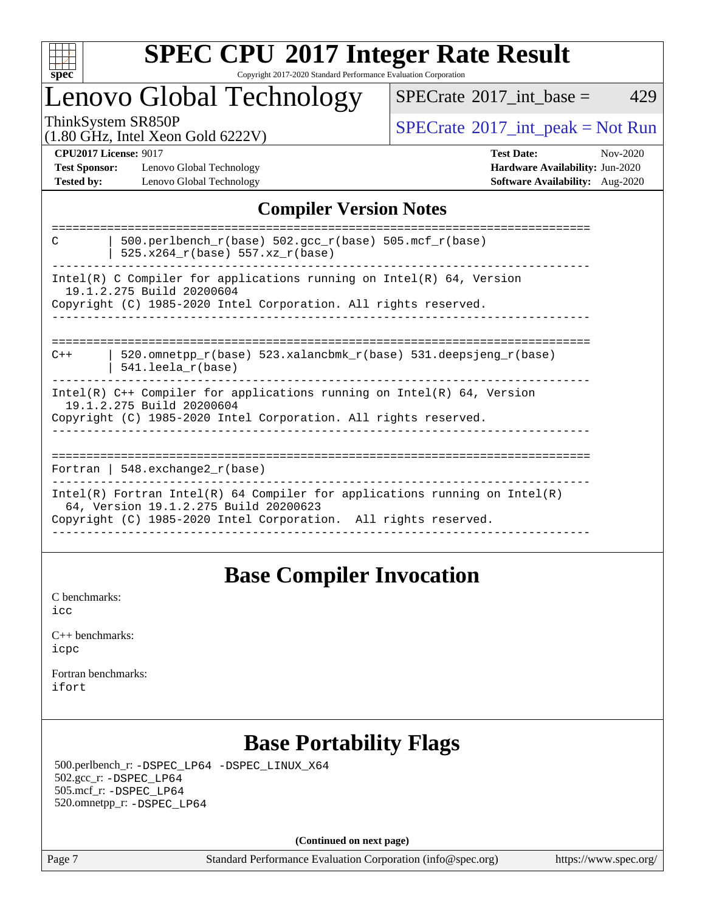

### **[SPEC CPU](http://www.spec.org/auto/cpu2017/Docs/result-fields.html#SPECCPU2017IntegerRateResult)[2017 Integer Rate Result](http://www.spec.org/auto/cpu2017/Docs/result-fields.html#SPECCPU2017IntegerRateResult)** Copyright 2017-2020 Standard Performance Evaluation Corporation

### Lenovo Global Technology

 $SPECTate$ <sup>®</sup>[2017\\_int\\_base =](http://www.spec.org/auto/cpu2017/Docs/result-fields.html#SPECrate2017intbase) 429

(1.80 GHz, Intel Xeon Gold 6222V)

ThinkSystem SR850P<br>(1.80 GHz, Intel Year Gold 6222V) [SPECrate](http://www.spec.org/auto/cpu2017/Docs/result-fields.html#SPECrate2017intpeak)®[2017\\_int\\_peak = N](http://www.spec.org/auto/cpu2017/Docs/result-fields.html#SPECrate2017intpeak)ot Run

**[Test Sponsor:](http://www.spec.org/auto/cpu2017/Docs/result-fields.html#TestSponsor)** Lenovo Global Technology **[Hardware Availability:](http://www.spec.org/auto/cpu2017/Docs/result-fields.html#HardwareAvailability)** Jun-2020 **[Tested by:](http://www.spec.org/auto/cpu2017/Docs/result-fields.html#Testedby)** Lenovo Global Technology **[Software Availability:](http://www.spec.org/auto/cpu2017/Docs/result-fields.html#SoftwareAvailability)** Aug-2020

**[CPU2017 License:](http://www.spec.org/auto/cpu2017/Docs/result-fields.html#CPU2017License)** 9017 **[Test Date:](http://www.spec.org/auto/cpu2017/Docs/result-fields.html#TestDate)** Nov-2020

### **[Compiler Version Notes](http://www.spec.org/auto/cpu2017/Docs/result-fields.html#CompilerVersionNotes)**

| 500.perlbench $r(base)$ 502.qcc $r(base)$ 505.mcf $r(base)$<br>C<br>$525.x264_r(base) 557.xz_r(base)$ |
|-------------------------------------------------------------------------------------------------------|
| Intel(R) C Compiler for applications running on Intel(R) $64$ , Version                               |
| 19.1.2.275 Build 20200604                                                                             |
| Copyright (C) 1985-2020 Intel Corporation. All rights reserved.                                       |
|                                                                                                       |
|                                                                                                       |
| 520.omnetpp $r(base)$ 523.xalancbmk $r(base)$ 531.deepsjeng $r(base)$<br>$C++$                        |
| $541.$ leela r(base)                                                                                  |
| $Intel(R)$ C++ Compiler for applications running on $Intel(R)$ 64, Version                            |
| 19.1.2.275 Build 20200604                                                                             |
| Copyright (C) 1985-2020 Intel Corporation. All rights reserved.                                       |
|                                                                                                       |
|                                                                                                       |
| Fortran   548.exchange2 $r(base)$                                                                     |
|                                                                                                       |
| Intel(R) Fortran Intel(R) 64 Compiler for applications running on Intel(R)                            |
| 64, Version 19.1.2.275 Build 20200623                                                                 |
| Copyright (C) 1985-2020 Intel Corporation. All rights reserved.                                       |
|                                                                                                       |

### **[Base Compiler Invocation](http://www.spec.org/auto/cpu2017/Docs/result-fields.html#BaseCompilerInvocation)**

[C benchmarks](http://www.spec.org/auto/cpu2017/Docs/result-fields.html#Cbenchmarks): [icc](http://www.spec.org/cpu2017/results/res2020q4/cpu2017-20201207-24513.flags.html#user_CCbase_intel_icc_66fc1ee009f7361af1fbd72ca7dcefbb700085f36577c54f309893dd4ec40d12360134090235512931783d35fd58c0460139e722d5067c5574d8eaf2b3e37e92)

| $C_{++}$ benchmarks: |  |
|----------------------|--|
| icpc                 |  |

[Fortran benchmarks](http://www.spec.org/auto/cpu2017/Docs/result-fields.html#Fortranbenchmarks): [ifort](http://www.spec.org/cpu2017/results/res2020q4/cpu2017-20201207-24513.flags.html#user_FCbase_intel_ifort_8111460550e3ca792625aed983ce982f94888b8b503583aa7ba2b8303487b4d8a21a13e7191a45c5fd58ff318f48f9492884d4413fa793fd88dd292cad7027ca)

### **[Base Portability Flags](http://www.spec.org/auto/cpu2017/Docs/result-fields.html#BasePortabilityFlags)**

 500.perlbench\_r: [-DSPEC\\_LP64](http://www.spec.org/cpu2017/results/res2020q4/cpu2017-20201207-24513.flags.html#b500.perlbench_r_basePORTABILITY_DSPEC_LP64) [-DSPEC\\_LINUX\\_X64](http://www.spec.org/cpu2017/results/res2020q4/cpu2017-20201207-24513.flags.html#b500.perlbench_r_baseCPORTABILITY_DSPEC_LINUX_X64) 502.gcc\_r: [-DSPEC\\_LP64](http://www.spec.org/cpu2017/results/res2020q4/cpu2017-20201207-24513.flags.html#suite_basePORTABILITY502_gcc_r_DSPEC_LP64) 505.mcf\_r: [-DSPEC\\_LP64](http://www.spec.org/cpu2017/results/res2020q4/cpu2017-20201207-24513.flags.html#suite_basePORTABILITY505_mcf_r_DSPEC_LP64) 520.omnetpp\_r: [-DSPEC\\_LP64](http://www.spec.org/cpu2017/results/res2020q4/cpu2017-20201207-24513.flags.html#suite_basePORTABILITY520_omnetpp_r_DSPEC_LP64)

**(Continued on next page)**

Page 7 Standard Performance Evaluation Corporation [\(info@spec.org\)](mailto:info@spec.org) <https://www.spec.org/>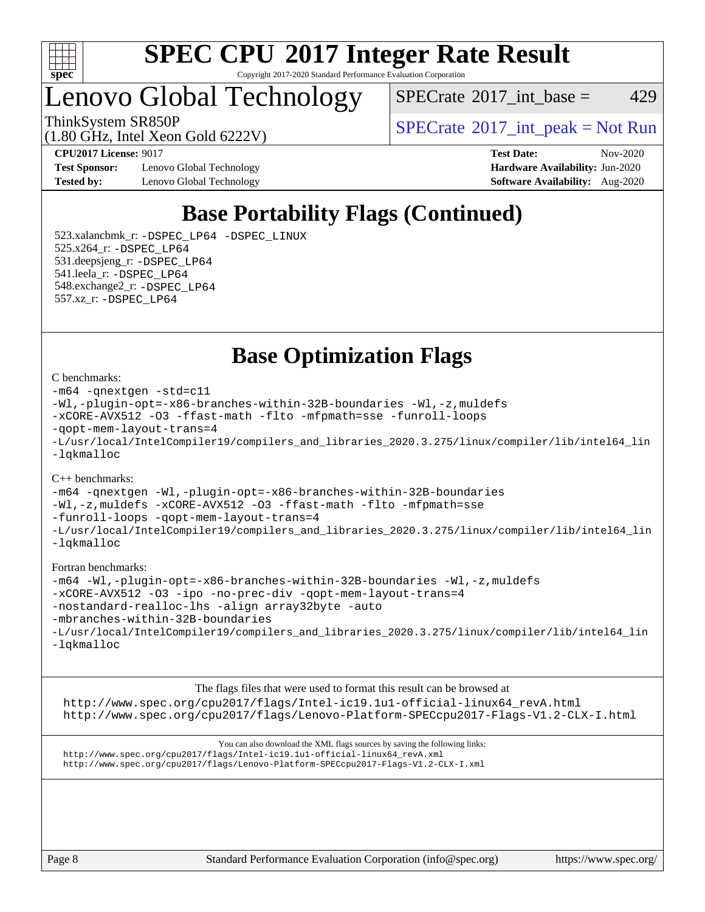

Copyright 2017-2020 Standard Performance Evaluation Corporation

Lenovo Global Technology

 $SPECTate@2017\_int\_base = 429$ 

(1.80 GHz, Intel Xeon Gold 6222V)

ThinkSystem SR850P<br>  $\begin{array}{c}\n\text{SPECTI}_2 \text{ Intel } \text{Y}_2 \text{ on } \text{Col14} \\
\text{SPECTI}_3 \text{ Int } \text{peak} = \text{Not Run}\n\end{array}$ 

**[Test Sponsor:](http://www.spec.org/auto/cpu2017/Docs/result-fields.html#TestSponsor)** Lenovo Global Technology **[Hardware Availability:](http://www.spec.org/auto/cpu2017/Docs/result-fields.html#HardwareAvailability)** Jun-2020 **[Tested by:](http://www.spec.org/auto/cpu2017/Docs/result-fields.html#Testedby)** Lenovo Global Technology **[Software Availability:](http://www.spec.org/auto/cpu2017/Docs/result-fields.html#SoftwareAvailability)** Aug-2020

**[CPU2017 License:](http://www.spec.org/auto/cpu2017/Docs/result-fields.html#CPU2017License)** 9017 **[Test Date:](http://www.spec.org/auto/cpu2017/Docs/result-fields.html#TestDate)** Nov-2020

### **[Base Portability Flags \(Continued\)](http://www.spec.org/auto/cpu2017/Docs/result-fields.html#BasePortabilityFlags)**

 523.xalancbmk\_r: [-DSPEC\\_LP64](http://www.spec.org/cpu2017/results/res2020q4/cpu2017-20201207-24513.flags.html#suite_basePORTABILITY523_xalancbmk_r_DSPEC_LP64) [-DSPEC\\_LINUX](http://www.spec.org/cpu2017/results/res2020q4/cpu2017-20201207-24513.flags.html#b523.xalancbmk_r_baseCXXPORTABILITY_DSPEC_LINUX) 525.x264\_r: [-DSPEC\\_LP64](http://www.spec.org/cpu2017/results/res2020q4/cpu2017-20201207-24513.flags.html#suite_basePORTABILITY525_x264_r_DSPEC_LP64) 531.deepsjeng\_r: [-DSPEC\\_LP64](http://www.spec.org/cpu2017/results/res2020q4/cpu2017-20201207-24513.flags.html#suite_basePORTABILITY531_deepsjeng_r_DSPEC_LP64) 541.leela\_r: [-DSPEC\\_LP64](http://www.spec.org/cpu2017/results/res2020q4/cpu2017-20201207-24513.flags.html#suite_basePORTABILITY541_leela_r_DSPEC_LP64) 548.exchange2\_r: [-DSPEC\\_LP64](http://www.spec.org/cpu2017/results/res2020q4/cpu2017-20201207-24513.flags.html#suite_basePORTABILITY548_exchange2_r_DSPEC_LP64) 557.xz\_r: [-DSPEC\\_LP64](http://www.spec.org/cpu2017/results/res2020q4/cpu2017-20201207-24513.flags.html#suite_basePORTABILITY557_xz_r_DSPEC_LP64)

**[Base Optimization Flags](http://www.spec.org/auto/cpu2017/Docs/result-fields.html#BaseOptimizationFlags)**

#### [C benchmarks](http://www.spec.org/auto/cpu2017/Docs/result-fields.html#Cbenchmarks):

```
-m64 -qnextgen -std=c11
-Wl,-plugin-opt=-x86-branches-within-32B-boundaries -Wl,-z,muldefs
-xCORE-AVX512 -O3 -ffast-math -flto -mfpmath=sse -funroll-loops
-qopt-mem-layout-trans=4
-L/usr/local/IntelCompiler19/compilers_and_libraries_2020.3.275/linux/compiler/lib/intel64_lin
-lqkmalloc
```
#### [C++ benchmarks](http://www.spec.org/auto/cpu2017/Docs/result-fields.html#CXXbenchmarks):

[-m64](http://www.spec.org/cpu2017/results/res2020q4/cpu2017-20201207-24513.flags.html#user_CXXbase_m64-icc) [-qnextgen](http://www.spec.org/cpu2017/results/res2020q4/cpu2017-20201207-24513.flags.html#user_CXXbase_f-qnextgen) [-Wl,-plugin-opt=-x86-branches-within-32B-boundaries](http://www.spec.org/cpu2017/results/res2020q4/cpu2017-20201207-24513.flags.html#user_CXXbase_f-x86-branches-within-32B-boundaries_0098b4e4317ae60947b7b728078a624952a08ac37a3c797dfb4ffeb399e0c61a9dd0f2f44ce917e9361fb9076ccb15e7824594512dd315205382d84209e912f3) [-Wl,-z,muldefs](http://www.spec.org/cpu2017/results/res2020q4/cpu2017-20201207-24513.flags.html#user_CXXbase_link_force_multiple1_b4cbdb97b34bdee9ceefcfe54f4c8ea74255f0b02a4b23e853cdb0e18eb4525ac79b5a88067c842dd0ee6996c24547a27a4b99331201badda8798ef8a743f577) [-xCORE-AVX512](http://www.spec.org/cpu2017/results/res2020q4/cpu2017-20201207-24513.flags.html#user_CXXbase_f-xCORE-AVX512) [-O3](http://www.spec.org/cpu2017/results/res2020q4/cpu2017-20201207-24513.flags.html#user_CXXbase_f-O3) [-ffast-math](http://www.spec.org/cpu2017/results/res2020q4/cpu2017-20201207-24513.flags.html#user_CXXbase_f-ffast-math) [-flto](http://www.spec.org/cpu2017/results/res2020q4/cpu2017-20201207-24513.flags.html#user_CXXbase_f-flto) [-mfpmath=sse](http://www.spec.org/cpu2017/results/res2020q4/cpu2017-20201207-24513.flags.html#user_CXXbase_f-mfpmath_70eb8fac26bde974f8ab713bc9086c5621c0b8d2f6c86f38af0bd7062540daf19db5f3a066d8c6684be05d84c9b6322eb3b5be6619d967835195b93d6c02afa1) [-funroll-loops](http://www.spec.org/cpu2017/results/res2020q4/cpu2017-20201207-24513.flags.html#user_CXXbase_f-funroll-loops) [-qopt-mem-layout-trans=4](http://www.spec.org/cpu2017/results/res2020q4/cpu2017-20201207-24513.flags.html#user_CXXbase_f-qopt-mem-layout-trans_fa39e755916c150a61361b7846f310bcdf6f04e385ef281cadf3647acec3f0ae266d1a1d22d972a7087a248fd4e6ca390a3634700869573d231a252c784941a8) [-L/usr/local/IntelCompiler19/compilers\\_and\\_libraries\\_2020.3.275/linux/compiler/lib/intel64\\_lin](http://www.spec.org/cpu2017/results/res2020q4/cpu2017-20201207-24513.flags.html#user_CXXbase_linkpath_6eb3b1b8be403820338b5b82e7a1c217a861a8962ac718a6253be1483b50620487664a39a847caf560d84a6b8bab7cca33d9f414525a12ede1e9473db34a3d08) [-lqkmalloc](http://www.spec.org/cpu2017/results/res2020q4/cpu2017-20201207-24513.flags.html#user_CXXbase_qkmalloc_link_lib_79a818439969f771c6bc311cfd333c00fc099dad35c030f5aab9dda831713d2015205805422f83de8875488a2991c0a156aaa600e1f9138f8fc37004abc96dc5)

#### [Fortran benchmarks:](http://www.spec.org/auto/cpu2017/Docs/result-fields.html#Fortranbenchmarks)

```
-m64 -Wl,-plugin-opt=-x86-branches-within-32B-boundaries -Wl,-z,muldefs
-xCORE-AVX512 -O3 -ipo -no-prec-div -qopt-mem-layout-trans=4
-nostandard-realloc-lhs -align array32byte -auto
-mbranches-within-32B-boundaries
-L/usr/local/IntelCompiler19/compilers_and_libraries_2020.3.275/linux/compiler/lib/intel64_lin
-lqkmalloc
```
[The flags files that were used to format this result can be browsed at](tmsearch) [http://www.spec.org/cpu2017/flags/Intel-ic19.1u1-official-linux64\\_revA.html](http://www.spec.org/cpu2017/flags/Intel-ic19.1u1-official-linux64_revA.html) <http://www.spec.org/cpu2017/flags/Lenovo-Platform-SPECcpu2017-Flags-V1.2-CLX-I.html>

[You can also download the XML flags sources by saving the following links:](tmsearch) [http://www.spec.org/cpu2017/flags/Intel-ic19.1u1-official-linux64\\_revA.xml](http://www.spec.org/cpu2017/flags/Intel-ic19.1u1-official-linux64_revA.xml) <http://www.spec.org/cpu2017/flags/Lenovo-Platform-SPECcpu2017-Flags-V1.2-CLX-I.xml>